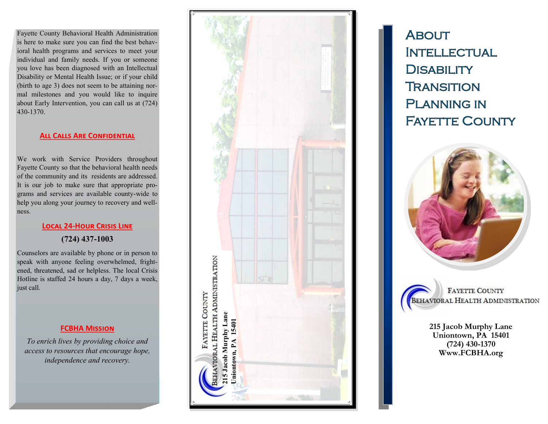Fayette County Behavioral Health Administration is here to make sure you can find the best behavioral health programs and services to meet your individual and family needs. If you or someone you love has been diagnosed with an Intellectual Disability or Mental Health Issue; or if your child (birth to age 3) does not seem to be attaining normal milestones and you would like to inquire about Early Intervention, you can call us at (724) 430 -1370.

#### **[All Calls Are Confidential](http://fcbha.org/PDF/FCBHA_Notice_of_Privacy.pdf)**

We work with Service Providers throughout Fayette County so that the behavioral health needs of the community and its residents are addressed. It is our job to make sure that appropriate programs and services are available county-wide to help you along your journey to recovery and wellness.

#### **Local 24 -Hour Crisis Line**

## **(724) 437 -1003**

Counselors are available by phone or in person to speak with anyone feeling overwhelmed, frightened, threatened, sad or helpless. The local Crisis Hotline is staffed 24 hours a day, 7 days a week, just call.

## **FCBHA Mission**

*To enrich lives by providing choice and access to resources that encourage hope, independence and recovery.* 



**ABOUT INTELLECTUAL DISABILITY TRANSITION PLANNING IN FAYETTE COUNTY** 



**FAYETTE COUNTY** BEHAVIORAL HEALTH ADMINISTRATION

> **215 Jacob Murphy Lane Uniontown, PA 15401 (724) 430 -1370 Www.FCBHA.org**